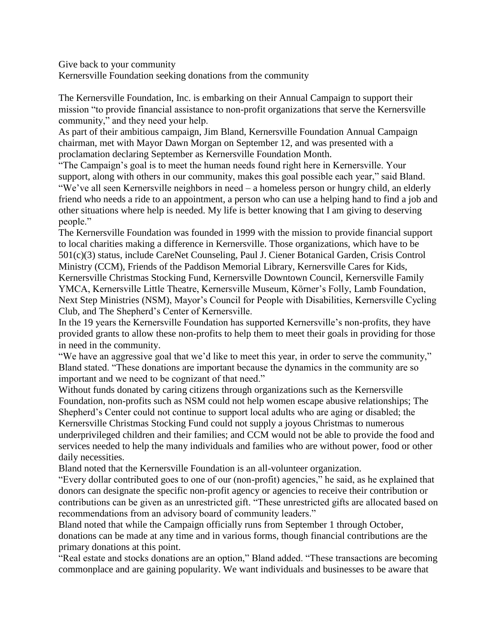Give back to your community

Kernersville Foundation seeking donations from the community

The Kernersville Foundation, Inc. is embarking on their Annual Campaign to support their mission "to provide financial assistance to non-profit organizations that serve the Kernersville community," and they need your help.

As part of their ambitious campaign, Jim Bland, Kernersville Foundation Annual Campaign chairman, met with Mayor Dawn Morgan on September 12, and was presented with a proclamation declaring September as Kernersville Foundation Month.

"The Campaign's goal is to meet the human needs found right here in Kernersville. Your support, along with others in our community, makes this goal possible each year," said Bland. "We've all seen Kernersville neighbors in need – a homeless person or hungry child, an elderly friend who needs a ride to an appointment, a person who can use a helping hand to find a job and other situations where help is needed. My life is better knowing that I am giving to deserving people."

The Kernersville Foundation was founded in 1999 with the mission to provide financial support to local charities making a difference in Kernersville. Those organizations, which have to be 501(c)(3) status, include CareNet Counseling, Paul J. Ciener Botanical Garden, Crisis Control Ministry (CCM), Friends of the Paddison Memorial Library, Kernersville Cares for Kids, Kernersville Christmas Stocking Fund, Kernersville Downtown Council, Kernersville Family YMCA, Kernersville Little Theatre, Kernersville Museum, Körner's Folly, Lamb Foundation, Next Step Ministries (NSM), Mayor's Council for People with Disabilities, Kernersville Cycling Club, and The Shepherd's Center of Kernersville.

In the 19 years the Kernersville Foundation has supported Kernersville's non-profits, they have provided grants to allow these non-profits to help them to meet their goals in providing for those in need in the community.

"We have an aggressive goal that we'd like to meet this year, in order to serve the community," Bland stated. "These donations are important because the dynamics in the community are so important and we need to be cognizant of that need."

Without funds donated by caring citizens through organizations such as the Kernersville Foundation, non-profits such as NSM could not help women escape abusive relationships; The Shepherd's Center could not continue to support local adults who are aging or disabled; the Kernersville Christmas Stocking Fund could not supply a joyous Christmas to numerous underprivileged children and their families; and CCM would not be able to provide the food and services needed to help the many individuals and families who are without power, food or other daily necessities.

Bland noted that the Kernersville Foundation is an all-volunteer organization.

"Every dollar contributed goes to one of our (non-profit) agencies," he said, as he explained that donors can designate the specific non-profit agency or agencies to receive their contribution or contributions can be given as an unrestricted gift. "These unrestricted gifts are allocated based on recommendations from an advisory board of community leaders."

Bland noted that while the Campaign officially runs from September 1 through October, donations can be made at any time and in various forms, though financial contributions are the primary donations at this point.

"Real estate and stocks donations are an option," Bland added. "These transactions are becoming commonplace and are gaining popularity. We want individuals and businesses to be aware that